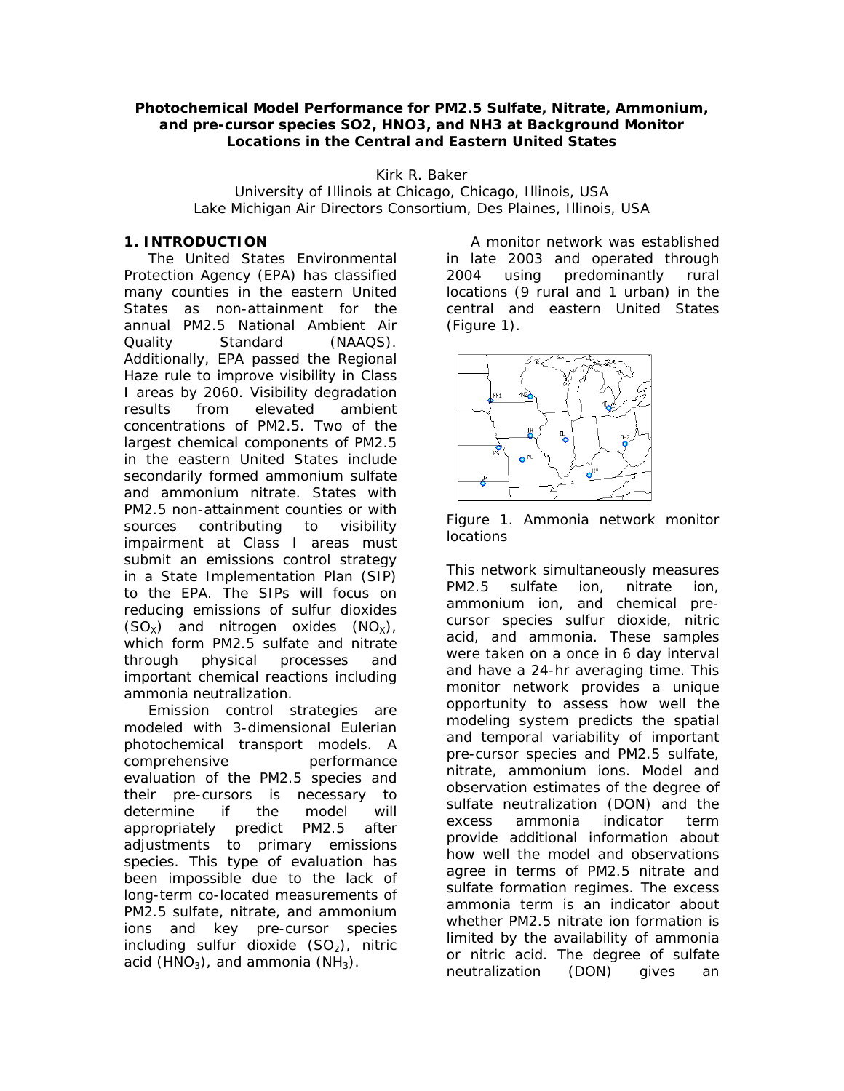#### **Photochemical Model Performance for PM2.5 Sulfate, Nitrate, Ammonium, and pre-cursor species SO2, HNO3, and NH3 at Background Monitor Locations in the Central and Eastern United States**

Kirk R. Baker

University of Illinois at Chicago, Chicago, Illinois, USA Lake Michigan Air Directors Consortium, Des Plaines, Illinois, USA

### **1. INTRODUCTION**

 The United States Environmental Protection Agency (EPA) has classified many counties in the eastern United States as non-attainment for the annual PM2.5 National Ambient Air Quality Standard (NAAQS). Additionally, EPA passed the Regional Haze rule to improve visibility in Class I areas by 2060. Visibility degradation results from elevated ambient concentrations of PM2.5. Two of the largest chemical components of PM2.5 in the eastern United States include secondarily formed ammonium sulfate and ammonium nitrate. States with PM2.5 non-attainment counties or with sources contributing to visibility impairment at Class I areas must submit an emissions control strategy in a State Implementation Plan (SIP) to the EPA. The SIPs will focus on reducing emissions of sulfur dioxides  $(SO_X)$  and nitrogen oxides  $(NO_X)$ , which form PM2.5 sulfate and nitrate through physical processes and important chemical reactions including ammonia neutralization.

 Emission control strategies are modeled with 3-dimensional Eulerian photochemical transport models. A comprehensive performance evaluation of the PM2.5 species and their pre-cursors is necessary to determine if the model will appropriately predict PM2.5 after adjustments to primary emissions species. This type of evaluation has been impossible due to the lack of long-term co-located measurements of PM2.5 sulfate, nitrate, and ammonium ions and key pre-cursor species including sulfur dioxide  $(SO<sub>2</sub>)$ , nitric acid (HNO<sub>3</sub>), and ammonia (NH<sub>3</sub>).

 A monitor network was established in late 2003 and operated through 2004 using predominantly rural locations (9 rural and 1 urban) in the central and eastern United States (Figure 1).



Figure 1. Ammonia network monitor **locations** 

This network simultaneously measures PM2.5 sulfate ion, nitrate ion, ammonium ion, and chemical precursor species sulfur dioxide, nitric acid, and ammonia. These samples were taken on a once in 6 day interval and have a 24-hr averaging time. This monitor network provides a unique opportunity to assess how well the modeling system predicts the spatial and temporal variability of important pre-cursor species and PM2.5 sulfate, nitrate, ammonium ions. Model and observation estimates of the degree of sulfate neutralization (DON) and the excess ammonia indicator term provide additional information about how well the model and observations agree in terms of PM2.5 nitrate and sulfate formation regimes. The excess ammonia term is an indicator about whether PM2.5 nitrate ion formation is limited by the availability of ammonia or nitric acid. The degree of sulfate neutralization (DON) gives an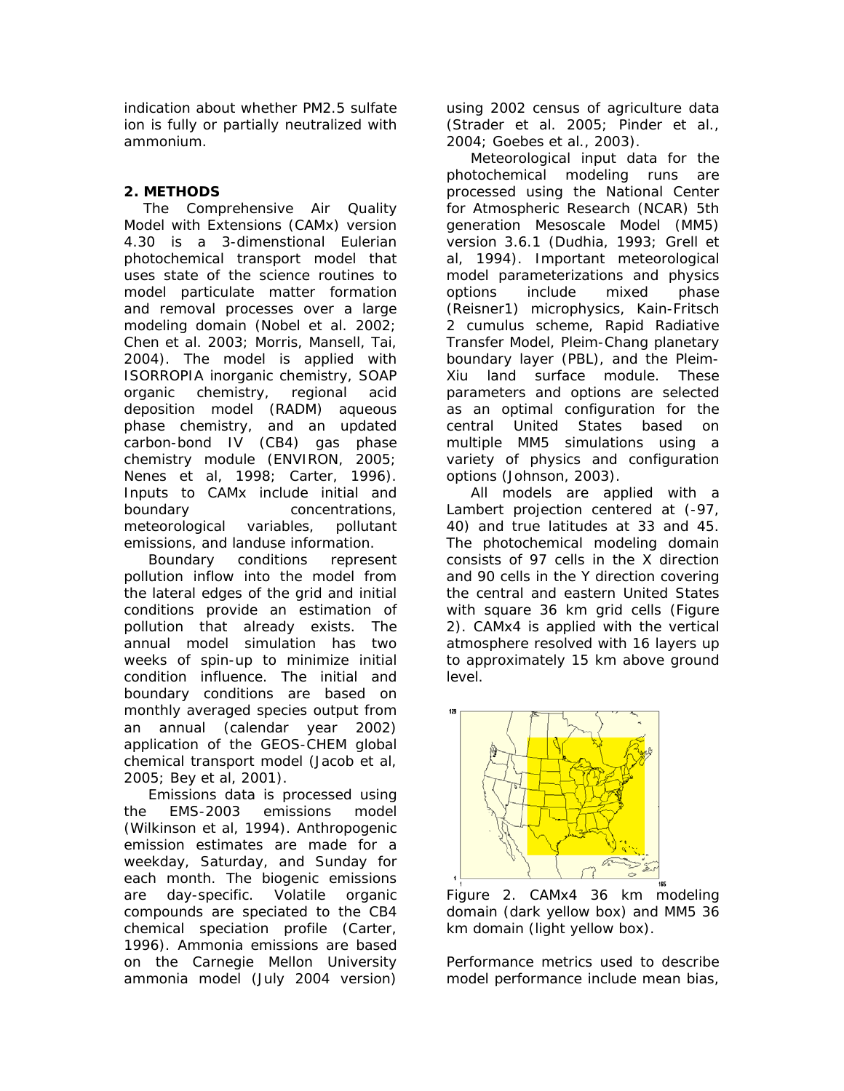indication about whether PM2.5 sulfate ion is fully or partially neutralized with ammonium.

# **2. METHODS**

 The Comprehensive Air Quality Model with Extensions (CAMx) version 4.30 is a 3-dimenstional Eulerian photochemical transport model that uses state of the science routines to model particulate matter formation and removal processes over a large modeling domain (Nobel et al. 2002; Chen et al. 2003; Morris, Mansell, Tai, 2004). The model is applied with ISORROPIA inorganic chemistry, SOAP organic chemistry, regional acid deposition model (RADM) aqueous phase chemistry, and an updated carbon-bond IV (CB4) gas phase chemistry module (ENVIRON, 2005; Nenes et al, 1998; Carter, 1996). Inputs to CAMx include initial and boundary concentrations, meteorological variables, pollutant emissions, and landuse information.

 Boundary conditions represent pollution inflow into the model from the lateral edges of the grid and initial conditions provide an estimation of pollution that already exists. The annual model simulation has two weeks of spin-up to minimize initial condition influence. The initial and boundary conditions are based on monthly averaged species output from an annual (calendar year 2002) application of the GEOS-CHEM global chemical transport model (Jacob et al, 2005; Bey et al, 2001).

 Emissions data is processed using the EMS-2003 emissions model (Wilkinson et al, 1994). Anthropogenic emission estimates are made for a weekday, Saturday, and Sunday for each month. The biogenic emissions are day-specific. Volatile organic compounds are speciated to the CB4 chemical speciation profile (Carter, 1996). Ammonia emissions are based on the Carnegie Mellon University ammonia model (July 2004 version)

using 2002 census of agriculture data (Strader et al. 2005; Pinder et al., 2004; Goebes et al., 2003).

 Meteorological input data for the photochemical modeling runs are processed using the National Center for Atmospheric Research (NCAR) 5th generation Mesoscale Model (MM5) version 3.6.1 (Dudhia, 1993; Grell et al, 1994). Important meteorological model parameterizations and physics options include mixed phase (Reisner1) microphysics, Kain-Fritsch 2 cumulus scheme, Rapid Radiative Transfer Model, Pleim-Chang planetary boundary layer (PBL), and the Pleim-Xiu land surface module. These parameters and options are selected as an optimal configuration for the central United States based on multiple MM5 simulations using a variety of physics and configuration options (Johnson, 2003).

 All models are applied with a Lambert projection centered at (-97, 40) and true latitudes at 33 and 45. The photochemical modeling domain consists of 97 cells in the X direction and 90 cells in the Y direction covering the central and eastern United States with square 36 km grid cells (Figure 2). CAMx4 is applied with the vertical atmosphere resolved with 16 layers up to approximately 15 km above ground level.



Figure 2. CAMx4 36 km modeling domain (dark yellow box) and MM5 36 km domain (light yellow box).

Performance metrics used to describe model performance include mean bias,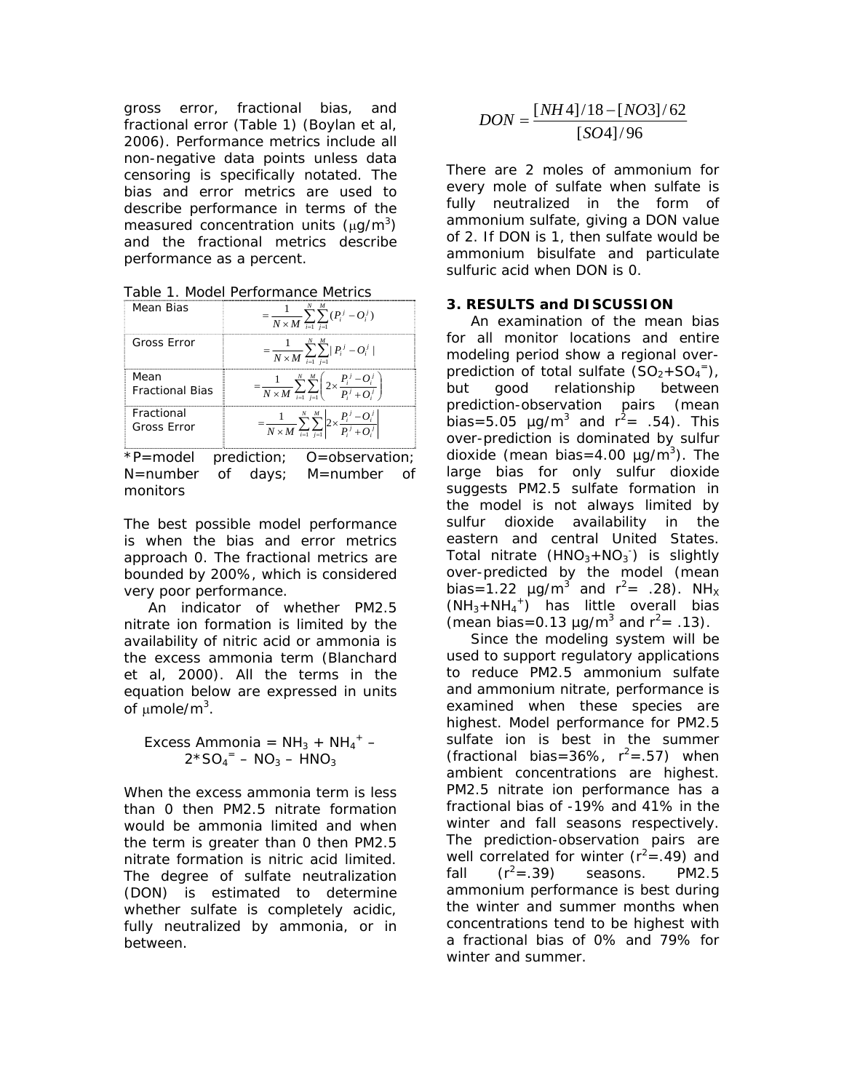gross error, fractional bias, and fractional error (Table 1) (Boylan et al, 2006). Performance metrics include all non-negative data points unless data censoring is specifically notated. The bias and error metrics are used to describe performance in terms of the measured concentration units  $(\mu g/m^3)$ and the fractional metrics describe performance as a percent.

Table 1. Model Performance Metrics

| Mean Bias                      | $\frac{1}{N \times M} \sum_{i=1}^{N}$<br>$(P_i^j - Q_i^j)$                                                        |
|--------------------------------|-------------------------------------------------------------------------------------------------------------------|
| Gross Error                    | $=\frac{1}{N \times M} \sum_{i=1}^{N} \sum_{j=1}^{N}  P_i^j - O_i^j $                                             |
| Mean<br><b>Fractional Bias</b> | $\frac{1}{N \times M} \sum_{i=1}^{N} \sum_{i=1}^{N} \left[ 2 \times \frac{F_i^2 - O_i^2}{P_i^2 + O_i^2} \right]$  |
| Fractional<br>Gross Error      | $=\frac{1}{N \times M} \sum_{i=1}^{N} \sum_{i=1}^{M} \left  2 \times \frac{P_i^j - Q_i^j}{P_i^j + Q_i^j} \right $ |
| P=model                        | prediction; O=observation;                                                                                        |

N=number of days; M=number of monitors

The best possible model performance is when the bias and error metrics approach 0. The fractional metrics are bounded by 200%, which is considered very poor performance.

 An indicator of whether PM2.5 nitrate ion formation is limited by the availability of nitric acid or ammonia is the excess ammonia term (Blanchard et al, 2000). All the terms in the equation below are expressed in units of μmole/m $^3$ .

Excess Ammonia =  $NH_3 + NH_4 +$  - $2*SO_4 = -NO_3 - HNO_3$ 

When the excess ammonia term is less than 0 then PM2.5 nitrate formation would be ammonia limited and when the term is greater than 0 then PM2.5 nitrate formation is nitric acid limited. The degree of sulfate neutralization (DON) is estimated to determine whether sulfate is completely acidic, fully neutralized by ammonia, or in between.

$$
DON = \frac{[NH4]/18 - [NO3]/62}{[SO4]/96}
$$

There are 2 moles of ammonium for every mole of sulfate when sulfate is fully neutralized in the form of ammonium sulfate, giving a DON value of 2. If DON is 1, then sulfate would be ammonium bisulfate and particulate sulfuric acid when DON is 0.

### **3. RESULTS and DISCUSSION**

 An examination of the mean bias for all monitor locations and entire modeling period show a regional overprediction of total sulfate  $(SO_2 + SO_4^-)$ , but good relationship between prediction-observation pairs (mean bias=5.05  $\mu$ g/m<sup>3</sup> and  $r^2$ = .54). This over-prediction is dominated by sulfur dioxide (mean bias=4.00  $\mu$ g/m<sup>3</sup>). The large bias for only sulfur dioxide suggests PM2.5 sulfate formation in the model is not always limited by sulfur dioxide availability in the eastern and central United States. Total nitrate  $(HNO<sub>3</sub>+NO<sub>3</sub>)$  is slightly over-predicted by the model (mean bias=1.22  $\mu$ g/m<sup>3</sup> and r<sup>2</sup>= .28). NH<sub>x</sub>  $(NH_3 + NH_4^+)$  has little overall bias (mean bias=0.13  $\mu$ g/m<sup>3</sup> and  $r^2$ = .13).

 Since the modeling system will be used to support regulatory applications to reduce PM2.5 ammonium sulfate and ammonium nitrate, performance is examined when these species are highest. Model performance for PM2.5 sulfate ion is best in the summer (fractional bias=36%,  $r^2$ =.57) when ambient concentrations are highest. PM2.5 nitrate ion performance has a fractional bias of -19% and 41% in the winter and fall seasons respectively. The prediction-observation pairs are well correlated for winter ( $r^2$ =.49) and fall  $(r^2 = .39)$ seasons. PM2.5 ammonium performance is best during the winter and summer months when concentrations tend to be highest with a fractional bias of 0% and 79% for winter and summer.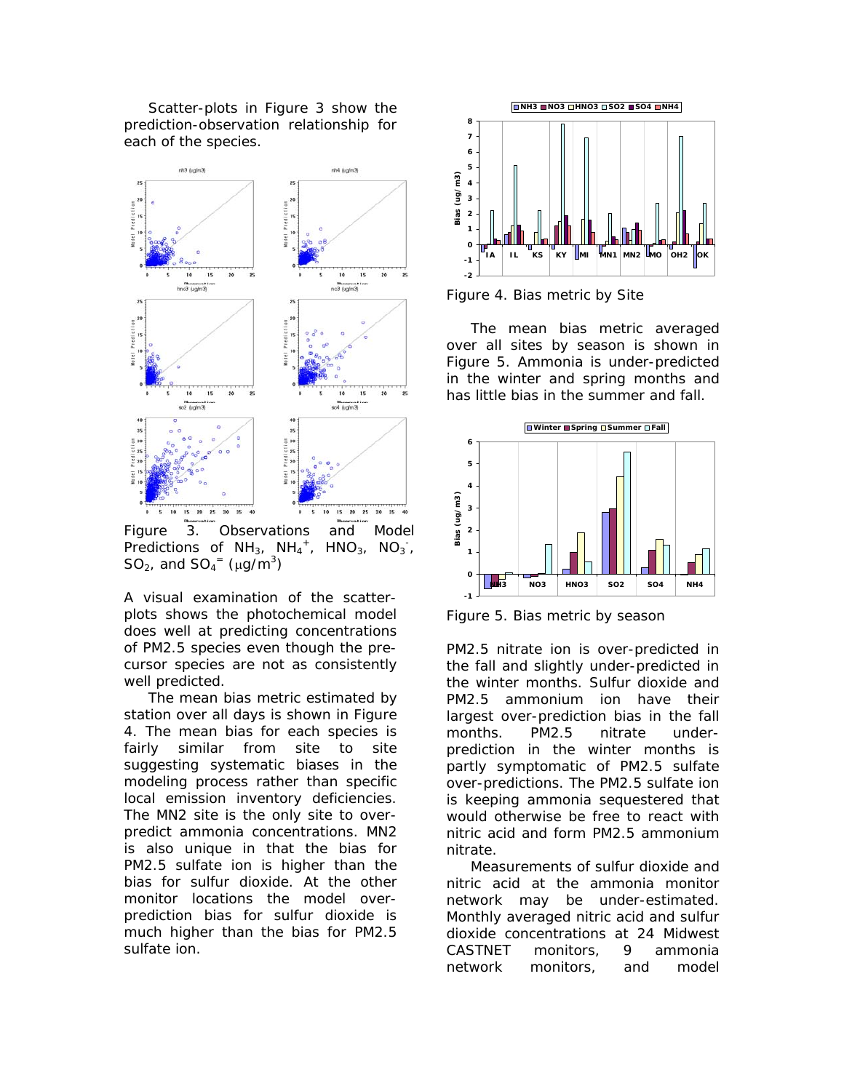Scatter-plots in Figure 3 show the prediction-observation relationship for each of the species.



Figure 3. Observations and Model Predictions of  $NH_3$ ,  $NH_4$ <sup>+</sup>, HNO<sub>3</sub>, NO<sub>3</sub><sup>-</sup>, SO<sub>2</sub>, and SO<sub>4</sub><sup>=</sup> ( $\mu$ g/m<sup>3</sup>)

A visual examination of the scatterplots shows the photochemical model does well at predicting concentrations of PM2.5 species even though the precursor species are not as consistently well predicted.

 The mean bias metric estimated by station over all days is shown in Figure 4. The mean bias for each species is fairly similar from site to site suggesting systematic biases in the modeling process rather than specific local emission inventory deficiencies. The MN2 site is the only site to overpredict ammonia concentrations. MN2 is also unique in that the bias for PM2.5 sulfate ion is higher than the bias for sulfur dioxide. At the other monitor locations the model overprediction bias for sulfur dioxide is much higher than the bias for PM2.5 sulfate ion.



Figure 4. Bias metric by Site

 The mean bias metric averaged over all sites by season is shown in Figure 5. Ammonia is under-predicted in the winter and spring months and has little bias in the summer and fall.



Figure 5. Bias metric by season

PM2.5 nitrate ion is over-predicted in the fall and slightly under-predicted in the winter months. Sulfur dioxide and PM2.5 ammonium ion have their largest over-prediction bias in the fall months. PM2.5 nitrate underprediction in the winter months is partly symptomatic of PM2.5 sulfate over-predictions. The PM2.5 sulfate ion is keeping ammonia sequestered that would otherwise be free to react with nitric acid and form PM2.5 ammonium nitrate.

 Measurements of sulfur dioxide and nitric acid at the ammonia monitor network may be under-estimated. Monthly averaged nitric acid and sulfur dioxide concentrations at 24 Midwest CASTNET monitors, 9 ammonia network monitors, and model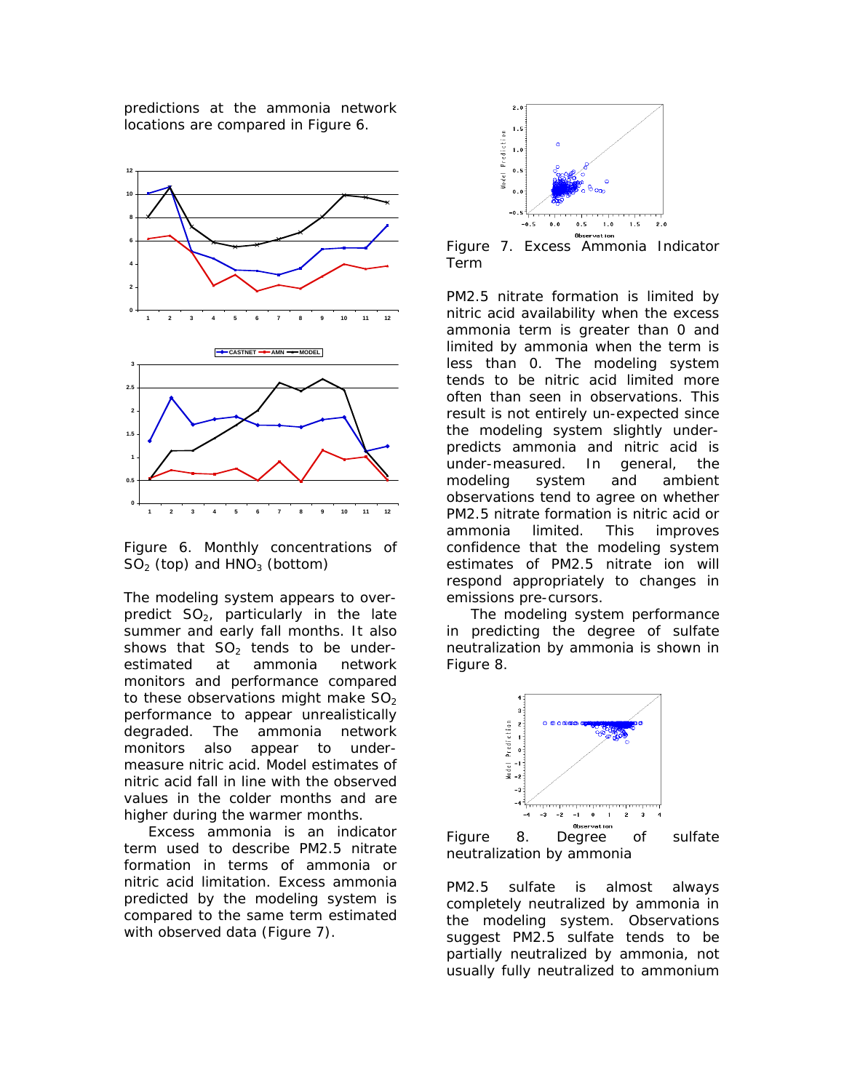predictions at the ammonia network locations are compared in Figure 6.



Figure 6. Monthly concentrations of  $SO<sub>2</sub>$  (top) and  $HNO<sub>3</sub>$  (bottom)

The modeling system appears to overpredict  $SO<sub>2</sub>$ , particularly in the late summer and early fall months. It also shows that  $SO<sub>2</sub>$  tends to be underestimated at ammonia network monitors and performance compared to these observations might make  $SO<sub>2</sub>$ performance to appear unrealistically degraded. The ammonia network monitors also appear to undermeasure nitric acid. Model estimates of nitric acid fall in line with the observed values in the colder months and are higher during the warmer months.

 Excess ammonia is an indicator term used to describe PM2.5 nitrate formation in terms of ammonia or nitric acid limitation. Excess ammonia predicted by the modeling system is compared to the same term estimated with observed data (Figure 7).



Figure 7. Excess Ammonia Indicator Term

PM2.5 nitrate formation is limited by nitric acid availability when the excess ammonia term is greater than 0 and limited by ammonia when the term is less than 0. The modeling system tends to be nitric acid limited more often than seen in observations. This result is not entirely un-expected since the modeling system slightly underpredicts ammonia and nitric acid is under-measured. In general, the modeling system and ambient observations tend to agree on whether PM2.5 nitrate formation is nitric acid or ammonia limited. This improves confidence that the modeling system estimates of PM2.5 nitrate ion will respond appropriately to changes in emissions pre-cursors.

 The modeling system performance in predicting the degree of sulfate neutralization by ammonia is shown in Figure 8.



Figure 8. Degree of sulfate neutralization by ammonia

PM2.5 sulfate is almost always completely neutralized by ammonia in the modeling system. Observations suggest PM2.5 sulfate tends to be partially neutralized by ammonia, not usually fully neutralized to ammonium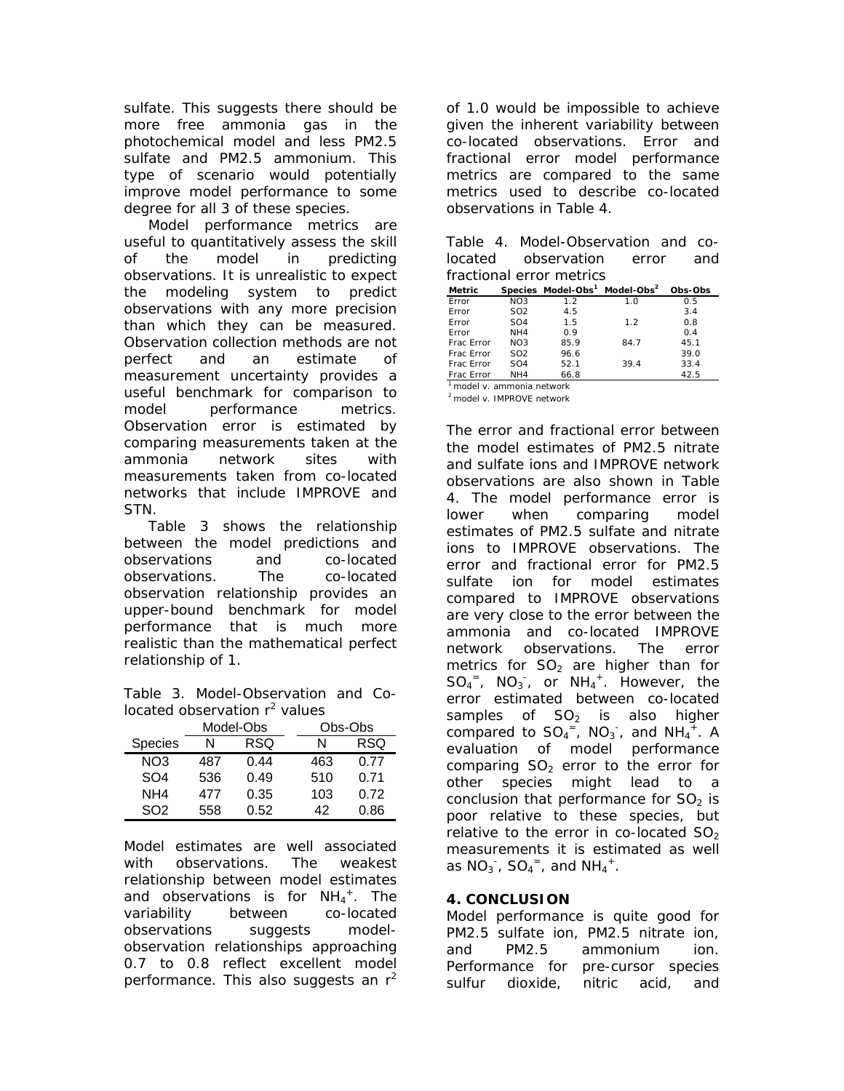sulfate. This suggests there should be more free ammonia gas in the photochemical model and less PM2.5 sulfate and PM2.5 ammonium. This type of scenario would potentially improve model performance to some degree for all 3 of these species.

 Model performance metrics are useful to quantitatively assess the skill of the model in predicting observations. It is unrealistic to expect the modeling system to predict observations with any more precision than which they can be measured. Observation collection methods are not perfect and an estimate of measurement uncertainty provides a useful benchmark for comparison to model performance metrics. Observation error is estimated by comparing measurements taken at the ammonia network sites with measurements taken from co-located networks that include IMPROVE and STN.

 Table 3 shows the relationship between the model predictions and observations and co-located observations. The co-located observation relationship provides an upper-bound benchmark for model performance that is much more realistic than the mathematical perfect relationship of 1.

Table 3. Model-Observation and Colocated observation  $r^2$  values

|                 | Model-Obs |      | Obs-Obs |      |
|-----------------|-----------|------|---------|------|
| Species         | N         | RSQ  | N       | RSQ  |
| NO3             | 487       | 0.44 | 463     | 0.77 |
| SO <sub>4</sub> | 536       | 0.49 | 510     | 0.71 |
| NH4             | 477       | 0.35 | 103     | 0.72 |
| SO2             | 558       | 0.52 | 42      | 0.86 |

Model estimates are well associated with observations. The weakest relationship between model estimates and observations is for  $NH_4^+$ . The variability between co-located observations suggests modelobservation relationships approaching 0.7 to 0.8 reflect excellent model performance. This also suggests an  $r^2$ 

of 1.0 would be impossible to achieve given the inherent variability between co-located observations. Error and fractional error model performance metrics are compared to the same metrics used to describe co-located observations in Table 4.

| Table 4. Model-Observation and co- |  |  |
|------------------------------------|--|--|
| located observation error and      |  |  |
| fractional error metrics           |  |  |

| Metric       |                          | Species Model-Obs <sup>1</sup> Model-Obs <sup>2</sup> |      | Obs-Obs |
|--------------|--------------------------|-------------------------------------------------------|------|---------|
| Frror        | NO <sub>3</sub>          | 12                                                    | 1.0  | 0.5     |
| <b>Frror</b> | SO <sub>2</sub>          | 4.5                                                   |      | 3.4     |
| Frror        | SO <sub>4</sub>          | 1.5                                                   | 12   | 0.8     |
| <b>Frror</b> | NH4                      | 0.9                                                   |      | 0.4     |
| Frac Frror   | NO <sub>3</sub>          | 85.9                                                  | 84.7 | 45.1    |
| Frac Frror   | SO <sub>2</sub>          | 96.6                                                  |      | 39.0    |
| Frac Frror   | SO <sub>4</sub>          | 52.1                                                  | 39.4 | 33.4    |
| Frac Frror   | NH4                      | 66.8                                                  |      | 42.5    |
|              | model v. ammonia network |                                                       |      |         |

*<sup>2</sup> model v. IMPROVE network*

The error and fractional error between the model estimates of PM2.5 nitrate and sulfate ions and IMPROVE network observations are also shown in Table 4. The model performance error is lower when comparing model estimates of PM2.5 sulfate and nitrate ions to IMPROVE observations. The error and fractional error for PM2.5 sulfate ion for model estimates compared to IMPROVE observations are very close to the error between the ammonia and co-located IMPROVE network observations. The error metrics for  $SO<sub>2</sub>$  are higher than for  $SO_4^-$ ,  $NO_3^-$ , or  $NH_4^+$ . However, the error estimated between co-located samples of  $SO<sub>2</sub>$  is also higher compared to  $SO_4^-$ , NO<sub>3</sub>, and NH<sub>4</sub><sup>+</sup>. A evaluation of model performance comparing  $SO<sub>2</sub>$  error to the error for other species might lead to a conclusion that performance for  $SO<sub>2</sub>$  is poor relative to these species, but relative to the error in co-located  $SO<sub>2</sub>$ measurements it is estimated as well as  $NO_3^-$ ,  $SO_4^-$ , and  $NH_4^+$ .

# **4. CONCLUSION**

Model performance is quite good for PM2.5 sulfate ion, PM2.5 nitrate ion, and PM2.5 ammonium ion. Performance for pre-cursor species sulfur dioxide, nitric acid, and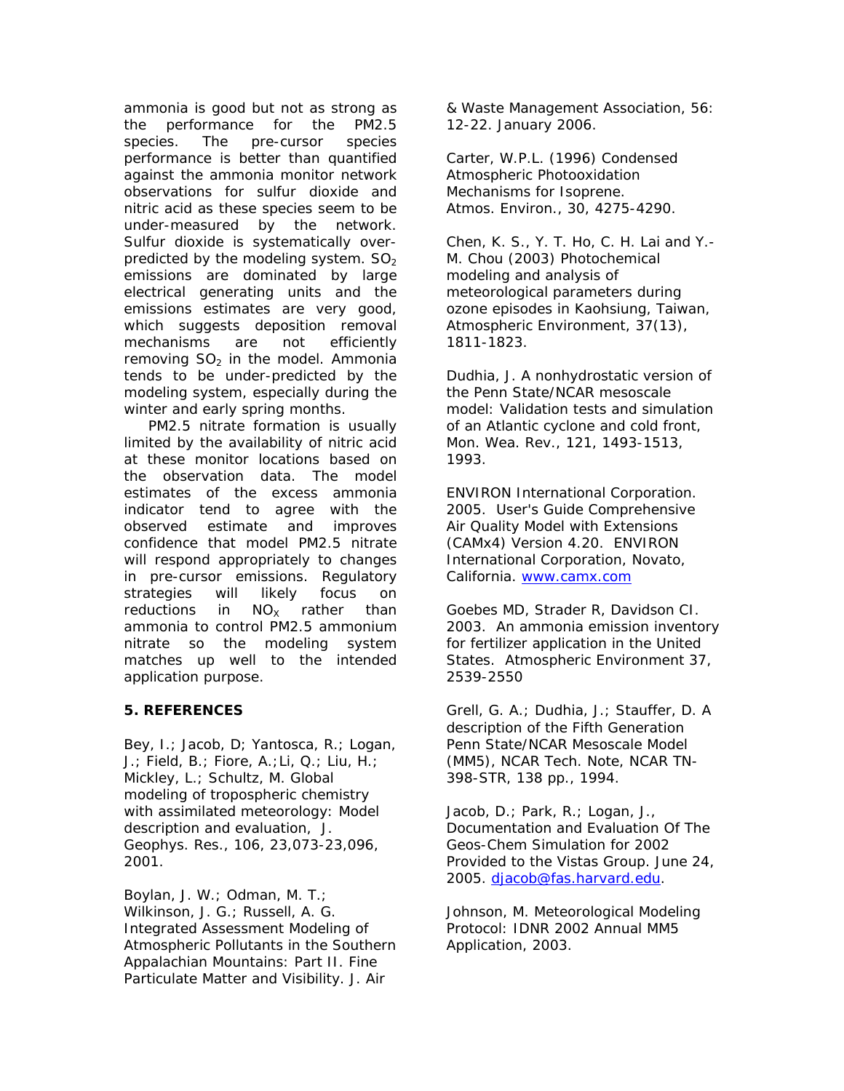ammonia is good but not as strong as the performance for the PM2.5 species. The pre-cursor species performance is better than quantified against the ammonia monitor network observations for sulfur dioxide and nitric acid as these species seem to be under-measured by the network. Sulfur dioxide is systematically overpredicted by the modeling system.  $SO<sub>2</sub>$ emissions are dominated by large electrical generating units and the emissions estimates are very good, which suggests deposition removal mechanisms are not efficiently removing  $SO<sub>2</sub>$  in the model. Ammonia tends to be under-predicted by the modeling system, especially during the winter and early spring months.

 PM2.5 nitrate formation is usually limited by the availability of nitric acid at these monitor locations based on the observation data. The model estimates of the excess ammonia indicator tend to agree with the observed estimate and improves confidence that model PM2.5 nitrate will respond appropriately to changes in pre-cursor emissions. Regulatory strategies will likely focus on reductions in  $NO<sub>x</sub>$  rather than ammonia to control PM2.5 ammonium nitrate so the modeling system matches up well to the intended application purpose.

### **5. REFERENCES**

Bey, I.; Jacob, D; Yantosca, R.; Logan, J.; Field, B.; Fiore, A.;Li, Q.; Liu, H.; Mickley, L.; Schultz, M. Global modeling of tropospheric chemistry with assimilated meteorology: Model description and evaluation, J. Geophys. Res., 106, 23,073-23,096, 2001.

Boylan, J. W.; Odman, M. T.; Wilkinson, J. G.; Russell, A. G. Integrated Assessment Modeling of Atmospheric Pollutants in the Southern Appalachian Mountains: Part II. Fine Particulate Matter and Visibility. J. Air

& Waste Management Association, 56: 12-22. January 2006.

Carter, W.P.L. (1996) Condensed Atmospheric Photooxidation Mechanisms for Isoprene. Atmos. Environ., 30, 4275-4290.

Chen, K. S., Y. T. Ho, C. H. Lai and Y.- M. Chou (2003) Photochemical modeling and analysis of meteorological parameters during ozone episodes in Kaohsiung, Taiwan, Atmospheric Environment, 37(13), 1811-1823.

Dudhia, J. A nonhydrostatic version of the Penn State/NCAR mesoscale model: Validation tests and simulation of an Atlantic cyclone and cold front, Mon. Wea. Rev., 121, 1493-1513, 1993.

ENVIRON International Corporation. 2005. User's Guide Comprehensive Air Quality Model with Extensions (CAMx4) Version 4.20. ENVIRON International Corporation, Novato, California. www.camx.com

Goebes MD, Strader R, Davidson CI. 2003. An ammonia emission inventory for fertilizer application in the United States. Atmospheric Environment 37, 2539-2550

Grell, G. A.; Dudhia, J.; Stauffer, D. A description of the Fifth Generation Penn State/NCAR Mesoscale Model (MM5), NCAR Tech. Note, NCAR TN-398-STR, 138 pp., 1994.

Jacob, D.; Park, R.; Logan, J., Documentation and Evaluation Of The Geos-Chem Simulation for 2002 Provided to the Vistas Group. June 24, 2005. djacob@fas.harvard.edu.

Johnson, M. Meteorological Modeling Protocol: IDNR 2002 Annual MM5 Application, 2003.